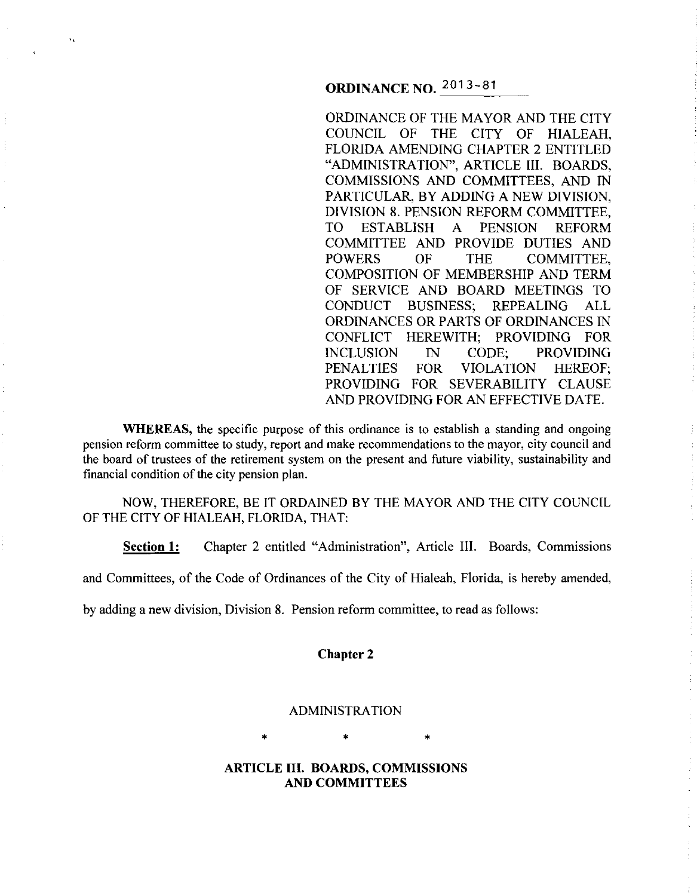# **ORDINANCE NO.** 2013-81

"

ORDINANCE OF THE MAYOR AND THE CITY COUNCIL OF THE CITY OF HIALEAH, FLORIDA AMENDING CHAPTER 2 ENTITLED "ADMINISTRATION", ARTICLE III. BOARDS, COMMISSIONS AND COMMITTEES, AND IN PARTICULAR, BY ADDING A NEW DIVISION, DIVISION 8. PENSION REFORM COMMITTEE, TO ESTABLISH A PENSION REFORM COMMITTEE AND PROVIDE DUTIES AND POWERS OF THE COMMITTEE, COMPOSITION OF MEMBERSHIP AND TERM OF SERVICE AND BOARD MEETINGS TO CONDUCT BUSINESS; REPEALING ALL ORDINANCES OR PARTS OF ORDINANCES IN CONFLICT HEREWITH; PROVIDING FOR INCLUSION IN CODE; PROVIDING PENALTIES FOR VIOLATION HEREOF; PROVIDING FOR SEVERABILITY CLAUSE AND PROVIDING FOR AN EFFECTIVE DATE.

**WHEREAS,** the specific purpose of this ordinance is to establish a standing and ongoing pension reform committee to study, report and make recommendations to the mayor, city council and the board of trustees of the retirement system on the present and future viability, sustainability and financial condition of the city pension plan.

NOW, THEREFORE, BE IT ORDAINED BY THE MAYOR AND THE CITY COUNCIL OF THE CITY OF HIALEAH, FLORIDA, THAT:

**Section 1:** Chapter 2 entitled "Administration", Article III. Boards, Commissions

and Committees, of the Code of Ordinances of the City of Hialeah, Florida, is hereby amended,

by adding a new division, Division 8. Pension reform committee, to read as follows:

#### **Chapter 2**

# ADMINISTRATION

 $\star$   $\star$   $\star$ 

# **ARTICLE III. BOARDS, COMMISSIONS AND COMMITTEES**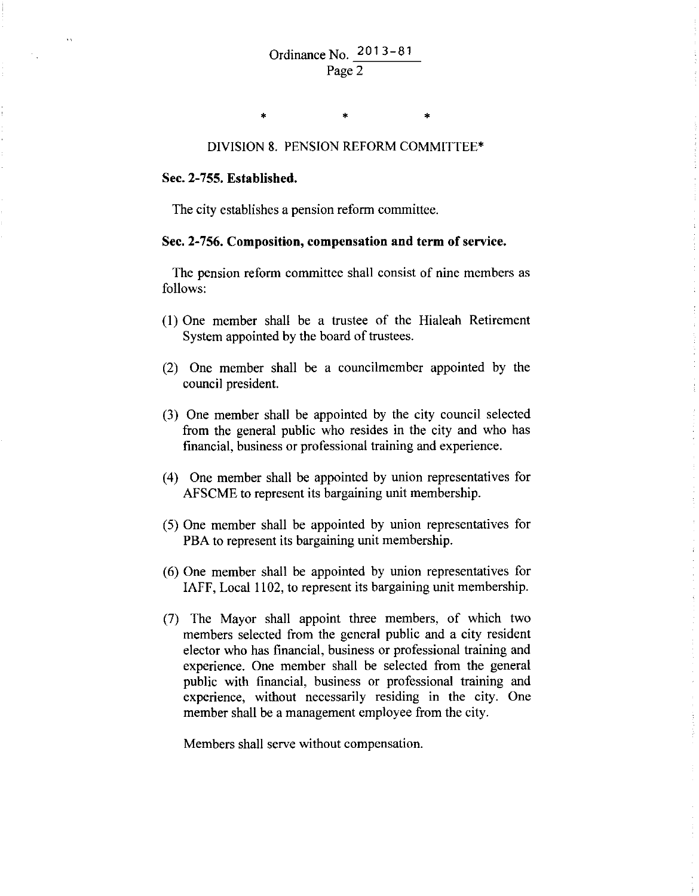#### DIVISION 8. PENSION REFORM COMMITTEE\*

\* \*

#### Sec. 2-755. Established.

\*

The city establishes a pension reform committee.

#### Sec. 2-756. Composition, compensation and term of service.

The pension reform committee shall consist of nine members as follows:

- (I) One member shall be a trustee of the Hialeah Retirement System appointed by the board of trustees.
- (2) One member shall be a councilmember appointed by the council president.
- (3) One member shall be appointed by the city council selected from the general public who resides in the city and who has financial, business or professional training and experience.
- ( 4) One member shall be appointed by union representatives for AFSCME to represent its bargaining unit membership.
- (5) One member shall be appointed by union representatives for PBA to represent its bargaining unit membership.
- (6) One member shall be appointed by union representatives for IAFF, Local 1102, to represent its bargaining unit membership.
- (7) The Mayor shall appoint three members, of which two members selected from the general public and a city resident elector who has financial, business or professional training and experience. One member shall be selected from the general public with financial, business or professional training and experience, without necessarily residing in the city. One member shall be a management employee from the city.

Members shall serve without compensation.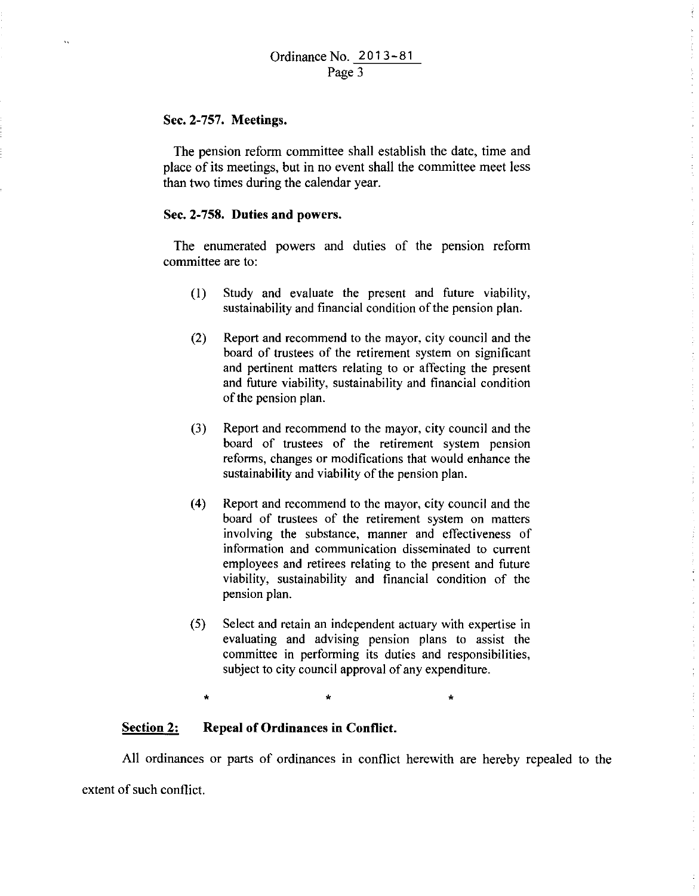### **Sec. 2-757. Meetings.**

 $\ddot{\phantom{a}}$ 

The pension reform committee shall establish the date, time and place of its meetings, but in no event shall the committee meet less than two times during the calendar year.

# **Sec. 2-758. Duties and powers.**

The enumerated powers and duties of the pension reform committee are to:

- (I) Study and evaluate the present and future viability, sustainability and financial condition of the pension plan.
- (2) Report and recommend to the mayor, city council and the board of trustees of the retirement system on significant and pertinent matters relating to or affecting the present and future viability, sustainability and financial condition of the pension plan.
- (3) Report and recommend to the mayor, city council and the board of trustees of the retirement system pension reforms, changes or modifications that would enhance the sustainability and viability of the pension plan.
- (4) Report and recommend to the mayor, city council and the board of trustees of the retirement system on matters involving the substance, manner and effectiveness of information and communication disseminated to current employees and retirees relating to the present and future viability, sustainability and financial condition of the pension plan.
- (5) Select and retain an independent actuary with expertise in evaluating and advising pension plans to assist the committee in performing its duties and responsibilities, subject to city council approval of any expenditure.

\* \* \*

#### **Section 2: Repeal of Ordinances in Conflict.**

All ordinances or parts of ordinances in conflict herewith are hereby repealed to the extent of such conflict.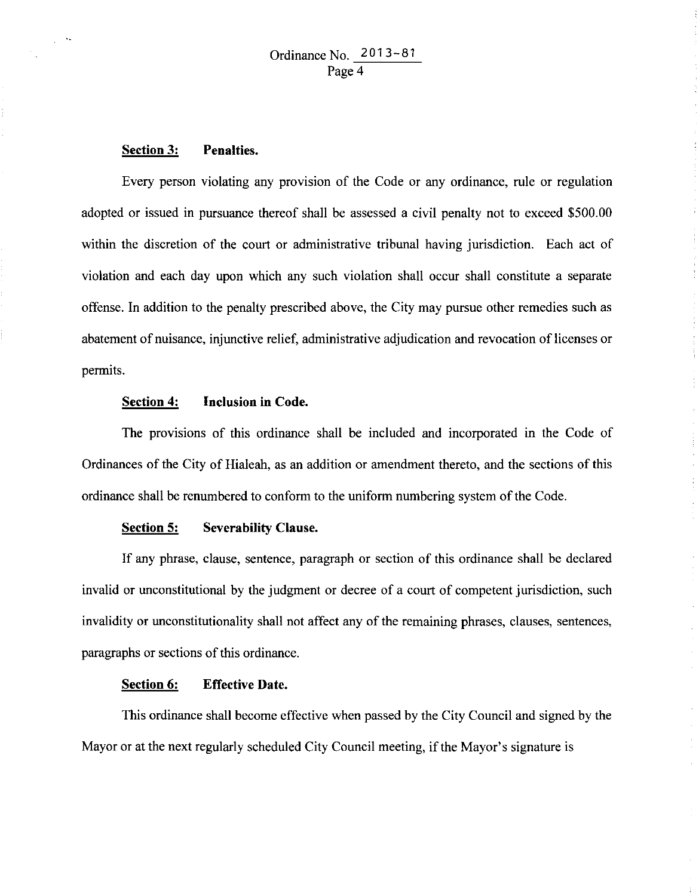## **Section 3: Penalties.**

 $\sqrt{2}$ 

Every person violating any provision of the Code or any ordinance, rule or regulation adopted or issued in pursuance thereof shall be assessed a civil penalty not to exceed \$500.00 within the discretion of the court or administrative tribunal having jurisdiction. Each act of violation and each day upon which any such violation shall occur shall constitute a separate offense. In addition to the penalty prescribed above, the City may pursue other remedies such as abatement of nuisance, injunctive relief, administrative adjudication and revocation of licenses or permits.

# **Section 4: Inclusion in Code.**

The provisions of this ordinance shall be included and incorporated in the Code of Ordinances of the City of Hialeah, as an addition or amendment thereto, and the sections of this ordinance shall be renumbered to conform to the uniform numbering system of the Code.

# **Section 5: Severability Clause.**

If any phrase, clause, sentence, paragraph or section of this ordinance shall be declared invalid or unconstitutional by the judgment or decree of a court of competent jurisdiction, such invalidity or unconstitutionality shall not affect any of the remaining phrases, clauses, sentences, paragraphs or sections of this ordinance.

# **Section 6: Effective Date.**

This ordinance shall become effective when passed by the City Council and signed by the Mayor or at the next regularly scheduled City Council meeting, if the Mayor's signature is